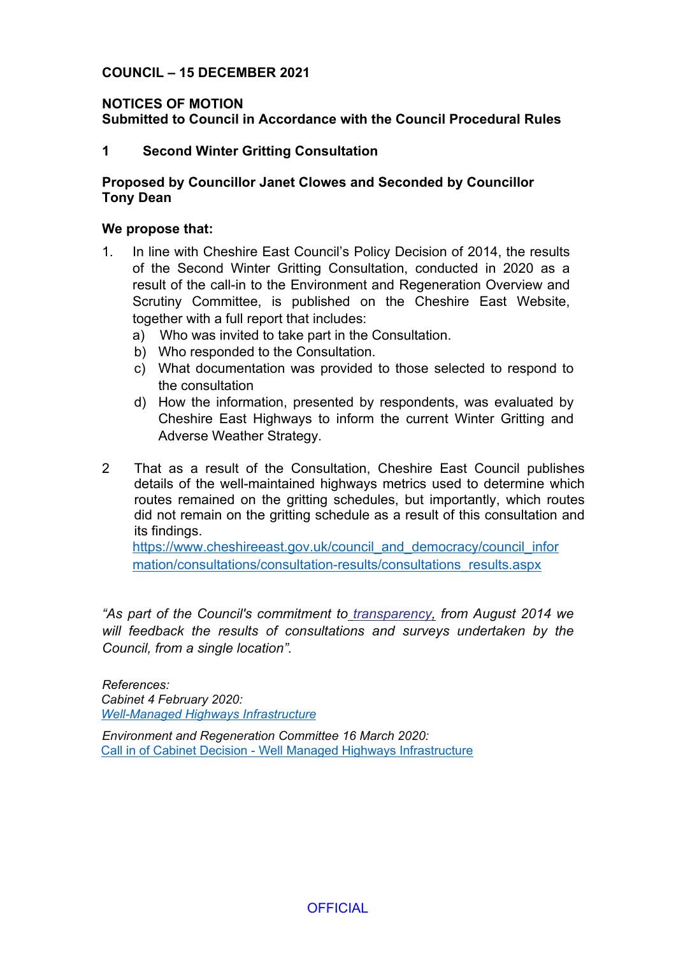## **COUNCIL – 15 DECEMBER 2021**

# **NOTICES OF MOTION**

**Submitted to Council in Accordance with the Council Procedural Rules**

## **1 Second Winter Gritting Consultation**

## **Proposed by Councillor Janet Clowes and Seconded by Councillor Tony Dean**

#### **We propose that:**

- 1. In line with Cheshire East Council's Policy Decision of 2014, the results of the Second Winter Gritting Consultation, conducted in 2020 as a result of the call-in to the Environment and Regeneration Overview and Scrutiny Committee, is published on the Cheshire East Website, together with a full report that includes:
	- a) Who was invited to take part in the Consultation.
	- b) Who responded to the Consultation.
	- c) What documentation was provided to those selected to respond to the consultation
	- d) How the information, presented by respondents, was evaluated by Cheshire East Highways to inform the current Winter Gritting and Adverse Weather Strategy.
- 2 That as a result of the Consultation, Cheshire East Council publishes details of the well-maintained highways metrics used to determine which routes remained on the gritting schedules, but importantly, which routes did not remain on the gritting schedule as a result of this consultation and its findings.

[https://www.cheshireeast.gov.uk/council\\_and\\_democracy/council\\_infor](https://www.cheshireeast.gov.uk/council_and_democracy/council_information/consultations/consultation-results/consultations_results.aspx) [mation/consultations/consultation-results/consultations\\_results.aspx](https://www.cheshireeast.gov.uk/council_and_democracy/council_information/consultations/consultation-results/consultations_results.aspx)

*"As part of the Council's commitment to [transparency,](http://www.cheshireeast.gov.uk/council_and_democracy/council_information/open-data-and-transparency/open-data-and-transparency.aspx) from August 2014 we will feedback the results of consultations and surveys undertaken by the Council, from a single location".*

#### *References:*

*Cabinet 4 February 2020: [Well-Managed](https://moderngov.cheshireeast.gov.uk/ecminutes/ieListDocuments.aspx?CId=241&MID=7464#AI49407) Highways Infrastructure*

*Environment and Regeneration Committee 16 March 2020:* Call in of Cabinet Decision - Well Managed Highways [Infrastructure](http://moderngov.cheshireeast.gov.uk/ecminutes/ieListDocuments.aspx?CId=870&MID=7572#AI49793)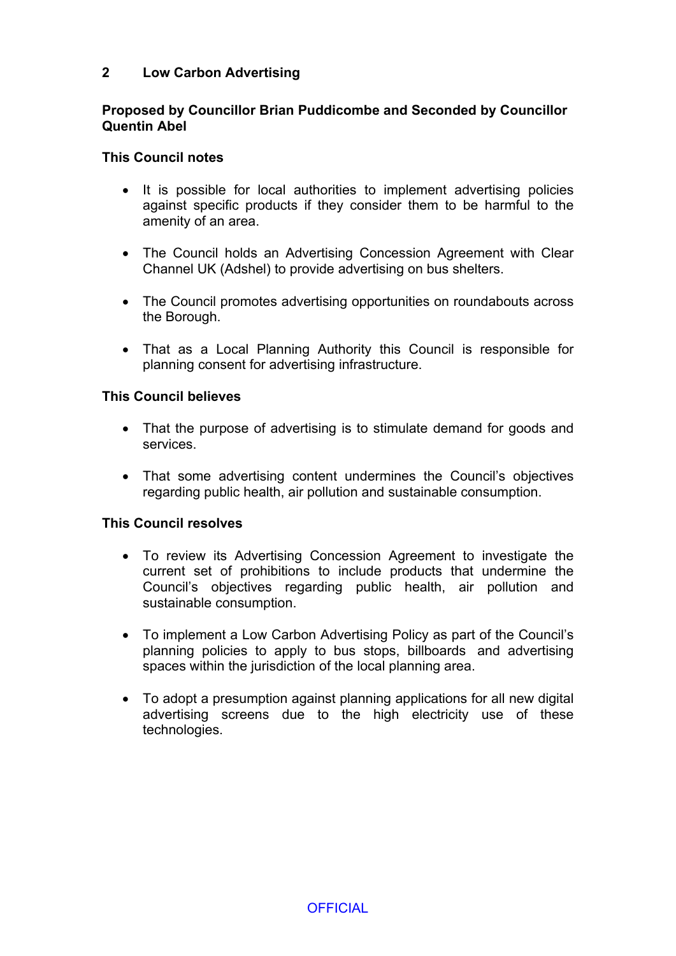## **2 Low Carbon Advertising**

## **Proposed by Councillor Brian Puddicombe and Seconded by Councillor Quentin Abel**

## **This Council notes**

- It is possible for local authorities to implement advertising policies against specific products if they consider them to be harmful to the amenity of an area.
- The Council holds an Advertising Concession Agreement with Clear Channel UK (Adshel) to provide advertising on bus shelters.
- The Council promotes advertising opportunities on roundabouts across the Borough.
- That as a Local Planning Authority this Council is responsible for planning consent for advertising infrastructure.

### **This Council believes**

- That the purpose of advertising is to stimulate demand for goods and services.
- That some advertising content undermines the Council's objectives regarding public health, air pollution and sustainable consumption.

### **This Council resolves**

- To review its Advertising Concession Agreement to investigate the current set of prohibitions to include products that undermine the Council's objectives regarding public health, air pollution and sustainable consumption.
- To implement a Low Carbon Advertising Policy as part of the Council's planning policies to apply to bus stops, billboards and advertising spaces within the jurisdiction of the local planning area.
- To adopt a presumption against planning applications for all new digital advertising screens due to the high electricity use of these technologies.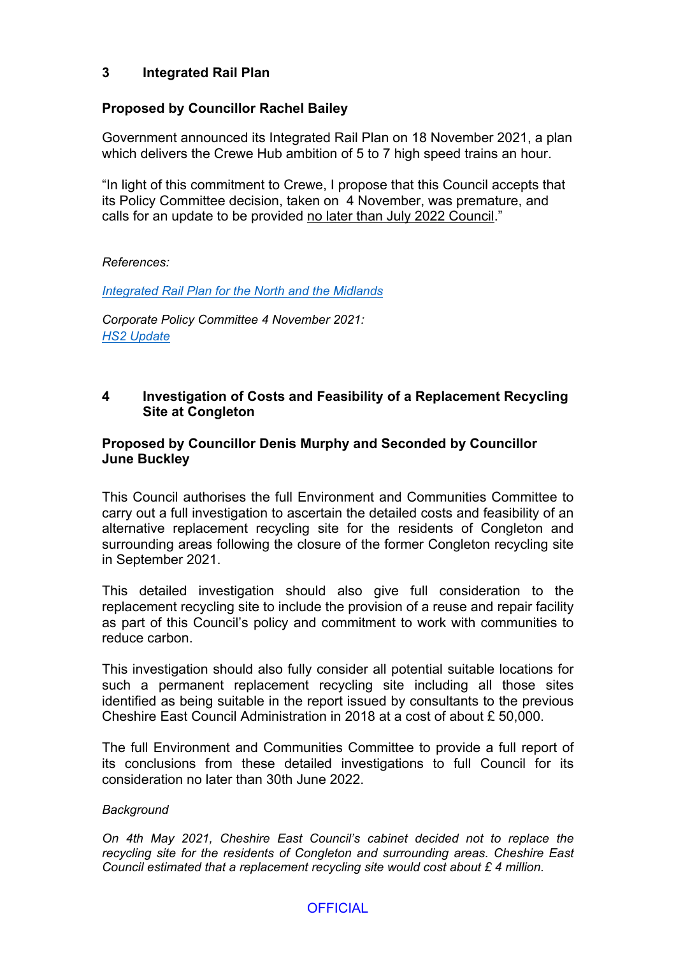# **3 Integrated Rail Plan**

## **Proposed by Councillor Rachel Bailey**

Government announced its Integrated Rail Plan on 18 November 2021, a plan which delivers the Crewe Hub ambition of 5 to 7 high speed trains an hour.

"In light of this commitment to Crewe, I propose that this Council accepts that its Policy Committee decision, taken on 4 November, was premature, and calls for an update to be provided no later than July 2022 Council."

#### *References:*

#### *[Integrated](https://www.gov.uk/government/publications/integrated-rail-plan-for-the-north-and-the-midlands) Rail Plan for the North and the Midlands*

*Corporate Policy Committee 4 November 2021: HS2 [Update](http://moderngov.cheshireeast.gov.uk/ecminutes/ieListDocuments.aspx?CId=959&MID=8661#AI58403)*

### **4 Investigation of Costs and Feasibility of a Replacement Recycling Site at Congleton**

## **Proposed by Councillor Denis Murphy and Seconded by Councillor June Buckley**

This Council authorises the full Environment and Communities Committee to carry out a full investigation to ascertain the detailed costs and feasibility of an alternative replacement recycling site for the residents of Congleton and surrounding areas following the closure of the former Congleton recycling site in September 2021.

This detailed investigation should also give full consideration to the replacement recycling site to include the provision of a reuse and repair facility as part of this Council's policy and commitment to work with communities to reduce carbon.

This investigation should also fully consider all potential suitable locations for such a permanent replacement recycling site including all those sites identified as being suitable in the report issued by consultants to the previous Cheshire East Council Administration in 2018 at a cost of about £ 50,000.

The full Environment and Communities Committee to provide a full report of its conclusions from these detailed investigations to full Council for its consideration no later than 30th June 2022.

#### *Background*

*On 4th May 2021, Cheshire East Council's cabinet decided not to replace the recycling site for the residents of Congleton and surrounding areas. Cheshire East Council estimated that a replacement recycling site would cost about £ 4 million.*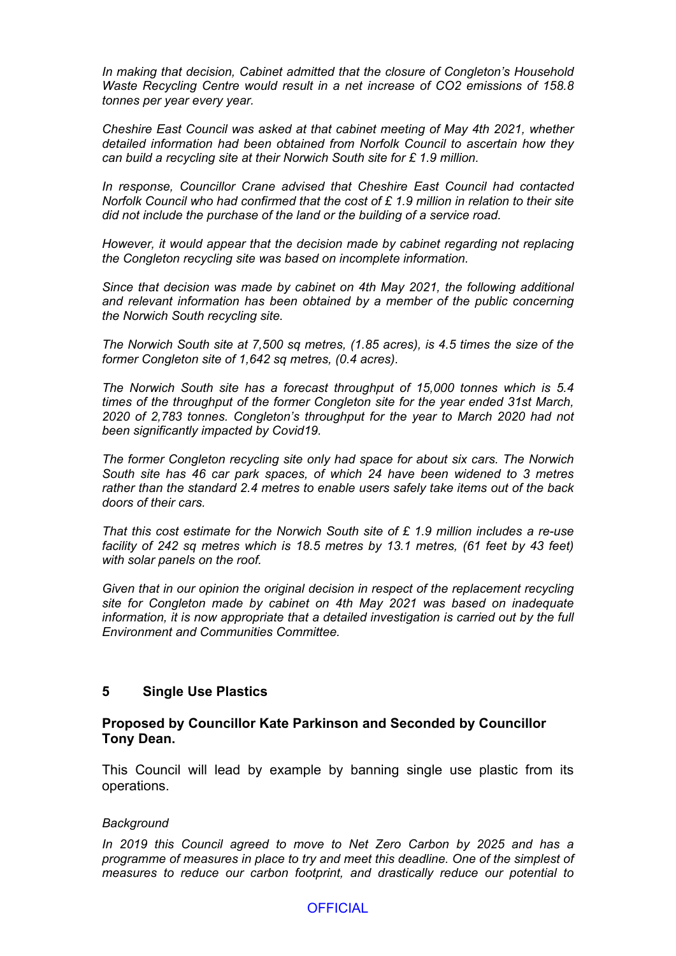*In making that decision, Cabinet admitted that the closure of Congleton's Household Waste Recycling Centre would result in a net increase of CO2 emissions of 158.8 tonnes per year every year.*

*Cheshire East Council was asked at that cabinet meeting of May 4th 2021, whether detailed information had been obtained from Norfolk Council to ascertain how they can build a recycling site at their Norwich South site for £ 1.9 million.*

*In response, Councillor Crane advised that Cheshire East Council had contacted Norfolk Council who had confirmed that the cost of £ 1.9 million in relation to their site did not include the purchase of the land or the building of a service road.*

*However, it would appear that the decision made by cabinet regarding not replacing the Congleton recycling site was based on incomplete information.*

*Since that decision was made by cabinet on 4th May 2021, the following additional and relevant information has been obtained by a member of the public concerning the Norwich South recycling site.*

*The Norwich South site at 7,500 sq metres, (1.85 acres), is 4.5 times the size of the former Congleton site of 1,642 sq metres, (0.4 acres).*

*The Norwich South site has a forecast throughput of 15,000 tonnes which is 5.4 times of the throughput of the former Congleton site for the year ended 31st March, 2020 of 2,783 tonnes. Congleton's throughput for the year to March 2020 had not been significantly impacted by Covid19.*

*The former Congleton recycling site only had space for about six cars. The Norwich South site has 46 car park spaces, of which 24 have been widened to 3 metres rather than the standard 2.4 metres to enable users safely take items out of the back doors of their cars.*

*That this cost estimate for the Norwich South site of £ 1.9 million includes a re-use facility of 242 sq metres which is 18.5 metres by 13.1 metres, (61 feet by 43 feet) with solar panels on the roof.*

*Given that in our opinion the original decision in respect of the replacement recycling site for Congleton made by cabinet on 4th May 2021 was based on inadequate information, it is now appropriate that a detailed investigation is carried out by the full Environment and Communities Committee.*

#### **5 Single Use Plastics**

#### **Proposed by Councillor Kate Parkinson and Seconded by Councillor Tony Dean.**

This Council will lead by example by banning single use plastic from its operations.

#### *Background*

*In 2019 this Council agreed to move to Net Zero Carbon by 2025 and has a programme of measures in place to try and meet this deadline. One of the simplest of measures to reduce our carbon footprint, and drastically reduce our potential to*